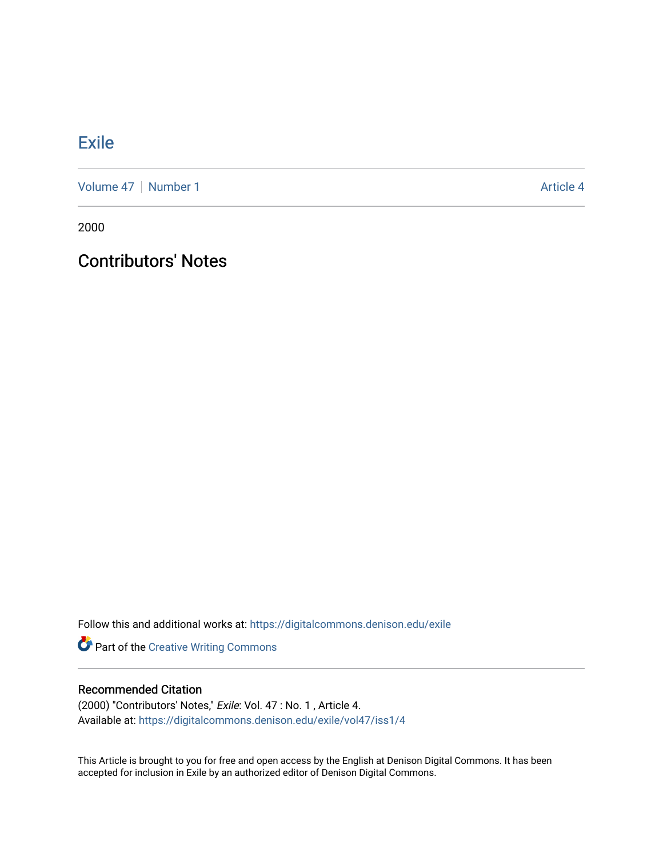## **[Exile](https://digitalcommons.denison.edu/exile)**

[Volume 47](https://digitalcommons.denison.edu/exile/vol47) | [Number 1](https://digitalcommons.denison.edu/exile/vol47/iss1) Article 4

2000

## Contributors' Notes

Follow this and additional works at: [https://digitalcommons.denison.edu/exile](https://digitalcommons.denison.edu/exile?utm_source=digitalcommons.denison.edu%2Fexile%2Fvol47%2Fiss1%2F4&utm_medium=PDF&utm_campaign=PDFCoverPages) 

Part of the [Creative Writing Commons](http://network.bepress.com/hgg/discipline/574?utm_source=digitalcommons.denison.edu%2Fexile%2Fvol47%2Fiss1%2F4&utm_medium=PDF&utm_campaign=PDFCoverPages) 

## Recommended Citation

(2000) "Contributors' Notes," Exile: Vol. 47 : No. 1 , Article 4. Available at: [https://digitalcommons.denison.edu/exile/vol47/iss1/4](https://digitalcommons.denison.edu/exile/vol47/iss1/4?utm_source=digitalcommons.denison.edu%2Fexile%2Fvol47%2Fiss1%2F4&utm_medium=PDF&utm_campaign=PDFCoverPages) 

This Article is brought to you for free and open access by the English at Denison Digital Commons. It has been accepted for inclusion in Exile by an authorized editor of Denison Digital Commons.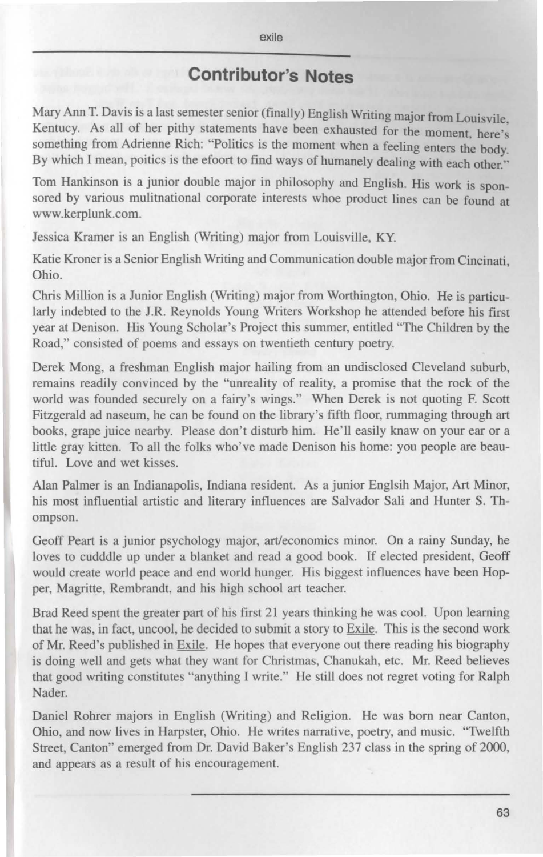## **Contributor's Notes**

Mary Ann T. Davis is a last semester senior (finally) English Writing major from Louisvile. Kentucy. As all of her pithy statements have been exhausted for the moment, here's something from Adrienne Rich: "Politics is the moment when a feeling enters the body. By which I mean, poitics is the efoort to find ways of humanely dealing with each other."

Tom Hankinson is a junior double major in philosophy and English. His work is sponsored by various mulitnational corporate interests whoe product lines can be found at www.kerplunk.com.

Jessica Kramer is an English (Writing) major from Louisville, KY.

Katie Kroner is a Senior English Writing and Communication double major from Cincinati, Ohio.

Chris Million is a Junior English (Writing) major from Worthington, Ohio. He is particularly indebted to the J.R. Reynolds Young Writers Workshop he attended before his first year at Denison. His Young Scholar's Project this summer, entitled "The Children by the Road," consisted of poems and essays on twentieth century poetry.

Derek Mong, a freshman English major hailing from an undisclosed Cleveland suburb, remains readily convinced by the "unreality of reality, a promise that the rock of the world was founded securely on a fairy's wings." When Derek is not quoting F. Scott Fitzgerald ad naseum, he can be found on the library's fifth floor, rummaging through art books, grape juice nearby. Please don't disturb him. He'll easily knaw on your ear or a little gray kitten. To all the folks who've made Denison his home: you people are beautiful. Love and wet kisses.

Alan Palmer is an Indianapolis, Indiana resident. As a junior Englsih Major, Art Minor, his most influential artistic and literary influences are Salvador Sali and Hunter S. Thompson.

Geoff Peart is a junior psychology major, art/economics minor. On a rainy Sunday, he loves to cudddle up under a blanket and read a good book. If elected president, Geoff would create world peace and end world hunger. His biggest influences have been Hopper, Magritte, Rembrandt, and his high school art teacher.

Brad Reed spent the greater part of his first 21 years thinking he was cool. Upon learning that he was, in fact, uncool, he decided to submit a story to Exile. This is the second work of Mr. Reed's published in Exile. He hopes that everyone out there reading his biography is doing well and gets what they want for Christmas, Chanukah, etc. Mr. Reed believes that good writing constitutes "anything I write." He still does not regret voting for Ralph Nader.

Daniel Rohrer majors in English (Writing) and Religion. He was born near Canton, Ohio, and now lives in Harpster, Ohio. He writes narrative, poetry, and music. "Twelfth Street, Canton" emerged from Dr. David Baker's English 237 class in the spring of 2000, and appears as a result of his encouragement.